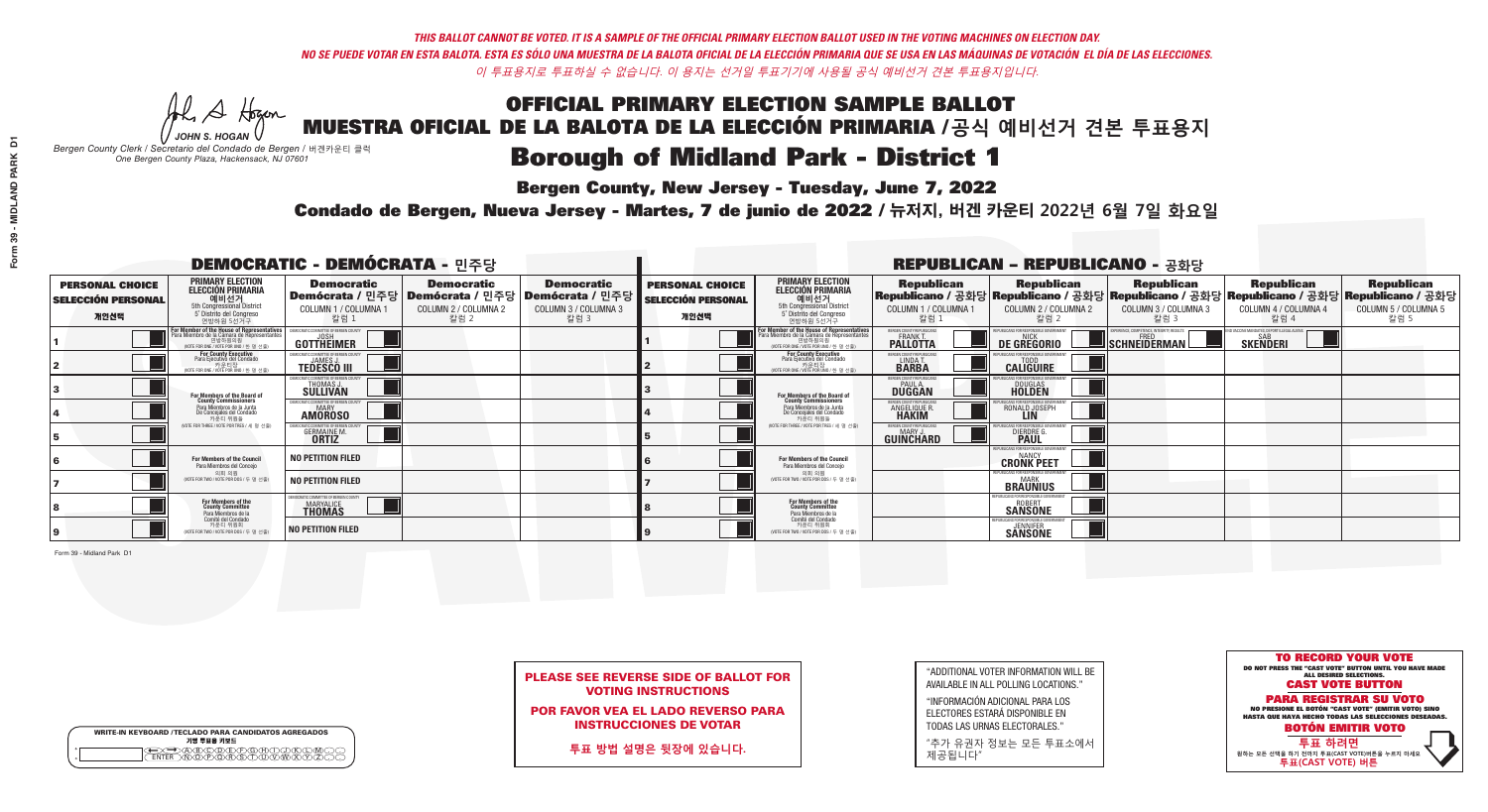**Bergen County, New Jersey - Tuesday, June 7, 2022** 

A Hogen *JOHN S. HOGAN*

| <b>WRITE-IN KEYBOARD /TECLADO PARA CANDIDATOS AGREGADOS</b><br>기명 투표용 키보드 |  |
|---------------------------------------------------------------------------|--|
| E A BOO DE DO BODO KI<br>MA BA BA SA MWA XI                               |  |

*Bergen County Clerk / Secretario del Condado de Bergen /* 버겐카운티 클럭 *One Bergen County Plaza, Hackensack, NJ 07601*

Condado de Bergen, Nueva Jersey - Martes, 7 de junio de 2022 / 뉴저지, 버겐 카운티 2022년 6월 7일 화요일 *One Bergen County Plaza, Hackensack, NJ 07601*



|  |                            | <b>PLEASE SEE REVERSE SIDE OF BALLOT FOR</b> |
|--|----------------------------|----------------------------------------------|
|  | <b>VOTING INSTRUCTIONS</b> |                                              |

POR FAVOR VEA EL LADO REVERSO PARA INSTRUCCIONES DE VOTAR

**투표 방법 설명은 뒷장에 있습니다.**

| "ADDITIONAL VOTER INFORMATION WILL BE |
|---------------------------------------|
| AVAILABLE IN ALL POLLING LOCATIONS."  |

"INFORMACIÓN ADICIONAL PARA LOS ELECTORES ESTARÁ DISPONIBLE EN TODAS LAS URNAS ELECTORALES."

"추가 유권자 정보는 모든 투표소에서 제공됩니다"

| <b>DEMOCRATIC - DEMÓCRATA - 민주당</b>                         |                                                                                                                                           |                                                                                       |                                                   |                                                                        |                                                             |                                                                                                                                               |                                                   | <b>REPUBLICAN - REPUBLICANO - 공화당</b>                                                                                                          |                                                          |                                                                |                                                   |
|-------------------------------------------------------------|-------------------------------------------------------------------------------------------------------------------------------------------|---------------------------------------------------------------------------------------|---------------------------------------------------|------------------------------------------------------------------------|-------------------------------------------------------------|-----------------------------------------------------------------------------------------------------------------------------------------------|---------------------------------------------------|------------------------------------------------------------------------------------------------------------------------------------------------|----------------------------------------------------------|----------------------------------------------------------------|---------------------------------------------------|
| <b>PERSONAL CHOICE</b><br><b>SELECCIÓN PERSONAL</b><br>개인선택 | <b>PRIMARY ELECTION</b><br>ELECCIÓN PRIMARIA<br>예비선거<br><sub>5th Congressional District</sub><br>5° Distrito del Congreso<br>연방하원 5선거구    | <b>Democratic</b><br>│Demócrata / 민주당│Demócrata / 민주당<br>COLUMN 1 / COLUMNA 1<br>칼럼 1 | <b>Democratic</b><br>COLUMN 2 / COLUMNA 2<br>칼럼 2 | <b>Democratic</b><br>; Demócrata / 민주당<br>COLUMN 3 / COLUMNA 3<br>칼럼 3 | <b>PERSONAL CHOICE</b><br><b>SELECCIÓN PERSONAL</b><br>개인선택 | <b>PRIMARY ELECTION</b><br>ELECCIÓN PRIMARIA<br>5th Congressional District<br>5° Distrito del Congreso<br>연방하원 5선거구                           | <b>Republican</b><br>COLUMN 1 / COLUMNA 1<br>칼럼 : | <b>Republican</b><br>Republicano / 공화당 Republicano / 공화당 Republicano / 공화당 Republicano / 공화당 Republicano / 공화당<br>COLUMN 2 / COLUMNA 2<br>참럼 2 | <b>Republican</b><br>COLUMN 3 / COLUMNA 3<br>칼럼 3        | <b>Republican</b><br>COLUMN 4 / COLUMNA 4<br>칼럼 4              | <b>Republican</b><br>COLUMN 5 / COLUMNA 5<br>칼럼 5 |
|                                                             | or Member of the House of Representatives<br>ra Miembro de la Cámara de Representante<br>연방하원의원<br>(VOTE FOR ONE / VOTE POR UNO / 한 명 선출) | DEMOCRATIC COMMITTEE OF BERGEN COUNTY<br>GOTTHEIMER                                   |                                                   |                                                                        |                                                             | For Member of the House of Representatives<br>Para Miembro de la Cámara de Representantes<br>연방하원의원<br>(VOTE FOR ONE / VOTE POR UNO / 한 명 선출) | ERGEN COUNTY REPUBLICAN<br><b>PALLOTTA</b>        | DE GREGORIO                                                                                                                                    | PERIENCE, COMPETENCE, INTEGRITY, RESULTS<br>SCHNEIDERMAN | ND VACCINE MANDATES, DEPORT ILLEGAL ALIENS.<br><b>SKENDERI</b> |                                                   |
|                                                             | <b>For County Executive</b><br>Para Ejecutivo del Condado<br>가운티장<br>(VOTE FOR ONE / VOTE POR UNO / 한 명 선출)                               | JEMOCRATIC COMMITTEE OF BERGEN COUNTY<br><b>TEDESCO III</b>                           |                                                   |                                                                        |                                                             | <b>For County Executive</b><br>Para Ejecutivo del Condado<br>7) 카운티장<br>(VOTE FOR ONE / VOTE POR UNO / 한 명 선출)                                | BERGEN COUNTY REPUBLICAN<br>LINDA T.              | <b>CALIGUIRE</b>                                                                                                                               |                                                          |                                                                |                                                   |
|                                                             | <b>For Members of the Board of<br/>County Commissioners</b>                                                                               | MOCRATIC COMMITTEE OF BERGEN COUNTY<br><b>SULLIVAN</b>                                |                                                   |                                                                        |                                                             | For Members of the Board of<br>County Commissioners                                                                                           | ERGEN COUNTY REPUBLICAN<br><b>DUGGAN</b>          | <b>DOUGLAS</b><br><b>HOLDEN</b>                                                                                                                |                                                          |                                                                |                                                   |
|                                                             | Para Miembros de la Junta<br>De Concejales del Condado<br>카운티 위원들                                                                         | <b>IOCRATIC COMMITTEE OF BERGEN COUNTY</b><br><b>AMOROSO</b>                          |                                                   |                                                                        |                                                             | Para Miembros de la Junta<br>De Concejales del Condado<br>카우티 위원들                                                                             | ERGEN COUNTY REPUBLICAN<br>ANGELIQUE R            | RONALD JOSEPH                                                                                                                                  |                                                          |                                                                |                                                   |
|                                                             | NOTE FOR THREE / VOTE POR TRES / 세 명 선출)                                                                                                  | CRATIC COMMITTEE OF BERGEN CO<br><b>GERMAINE M.</b>                                   |                                                   |                                                                        |                                                             | NOTE FOR THREE / VOTE POR TRES / 세 명 선출)                                                                                                      | BERGEN COUNTY REPUBLICANS<br>MARY J.<br>GUINCHARD | S FOR RESPONSIBLE GO<br><b>DIERDRE</b> Q                                                                                                       |                                                          |                                                                |                                                   |
|                                                             | For Members of the Council<br>Para Miembros del Conceio                                                                                   | <b>NO PETITION FILED</b>                                                              |                                                   |                                                                        |                                                             | For Members of the Council<br>Para Miembros del Conceio                                                                                       |                                                   | PUBLICANS FOR RESPONSIBLE GOVERNMEN<br><b>CRONK PEET</b>                                                                                       |                                                          |                                                                |                                                   |
|                                                             | 의회 의원<br>(VOTE FOR TWO / VOTE POR DOS / 두 명 선출                                                                                            | <b>NO PETITION FILED</b>                                                              |                                                   |                                                                        |                                                             | 의회 의원<br>(VOTE FOR TWO / VOTE POR DOS / 두 명 선출)                                                                                               |                                                   | PUBLICANS FOR RESPONSIBLE GOVERNMENT<br><b>BRAUNIUS</b>                                                                                        |                                                          |                                                                |                                                   |
|                                                             | For Members of the<br>County Committee<br>Para Miembros de la<br>Comité del Condado                                                       | DCRATIC COMMITTEE OF BERGEN COUNTY<br>MARYALICE<br><b>THOMAS</b>                      |                                                   |                                                                        |                                                             | For Members of the<br>County Committee<br>Para Miembros de la<br>Comité del Condado                                                           |                                                   | PHRI ICANS FOR RESPONSIRI E GOVI<br><b>ROBERT</b><br><b>SANSONE</b>                                                                            |                                                          |                                                                |                                                   |
|                                                             | 카운티 위원회<br>(VOTE FOR TWO / VOTE POR DOS / 두 명 선출)                                                                                         | <b>NO PETITION FILED</b>                                                              |                                                   |                                                                        |                                                             | 카운티 위원회<br>WOTE FOR TWO / VOTE POR DOS / 두 명 선출)                                                                                              |                                                   | PURLICANS FOR RESPONSIBLE GOVERNMENT<br><b>SANSONE</b>                                                                                         |                                                          |                                                                |                                                   |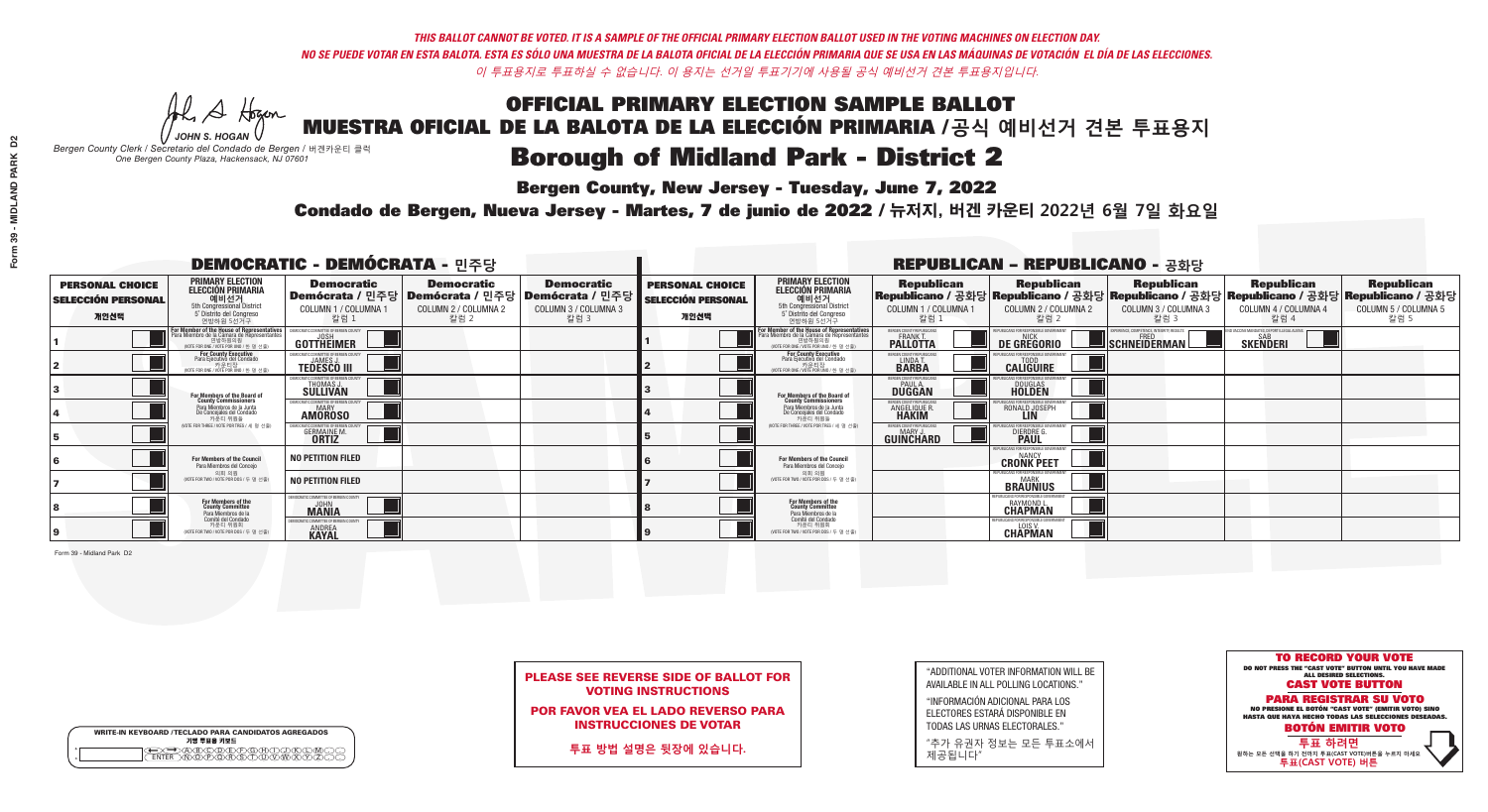**Bergen County, New Jersey - Tuesday, June 7, 2022** 

A Hogen *JOHN S. HOGAN*

| <b>WRITE-IN KEYBOARD /TECLADO PARA CANDIDATOS AGREGADOS</b><br>기명 투표용 키보드 |
|---------------------------------------------------------------------------|
|                                                                           |

*Bergen County Clerk / Secretario del Condado de Bergen /* 버겐카운티 클럭 *One Bergen County Plaza, Hackensack, NJ 07601*



PLEASE SEE REVERSE SIDE OF BALLOT FOR VOTING INSTRUCTIONS

POR FAVOR VEA EL LADO REVERSO PARA INSTRUCCIONES DE VOTAR

**투표 방법 설명은 뒷장에 있습니다.**

"ADDITIONAL VOTER INFORMATION WILL BE AVAILABLE IN ALL POLLING LOCATIONS."

"INFORMACIÓN ADICIONAL PARA LOS ELECTORES ESTARÁ DISPONIBLE EN TODAS LAS URNAS ELECTORALES."

"추가 유권자 정보는 모든 투표소에서 제공됩니다"

Condado de Bergen, Nueva Jersey - Martes, 7 de junio de 2022 / 뉴저지, 버겐 카운티 2022년 6월 7일 화요일 *One Bergen County Plaza, Hackensack, NJ 07601*

|                                                             |                                                                                                                                            | <b>DEMOCRATIC - DEMÓCRATA - 민주당</b>                                                   |                                                   |                                                                          |                                                             |                                                                                                                                               |                                                            | <b>REPUBLICAN - REPUBLICANO - 공화당</b>                     |                                                        |                                                                                                                                                |                                                   |
|-------------------------------------------------------------|--------------------------------------------------------------------------------------------------------------------------------------------|---------------------------------------------------------------------------------------|---------------------------------------------------|--------------------------------------------------------------------------|-------------------------------------------------------------|-----------------------------------------------------------------------------------------------------------------------------------------------|------------------------------------------------------------|-----------------------------------------------------------|--------------------------------------------------------|------------------------------------------------------------------------------------------------------------------------------------------------|---------------------------------------------------|
| <b>PERSONAL CHOICE</b><br><b>SELECCIÓN PERSONAL</b><br>개인선택 | <b>PRIMARY ELECTION</b><br><b>ELECCIÓN PRIMARIA</b><br>예비선거<br>5th Congressional District<br>5° Distrito del Congreso<br>연방하원 5선거구         | <b>Democratic</b><br>│Demócrata / 민주당│Demócrata / 민주당<br>COLUMN 1 / COLUMNA 1<br>칼럼 1 | <b>Democratic</b><br>COLUMN 2 / COLUMNA 2<br>칼럼 2 | <b>Democratic</b><br>: Demócrata / 민주당  <br>COLUMN 3 / COLUMNA 3<br>칼럼 3 | <b>PERSONAL CHOICE</b><br><b>SELECCIÓN PERSONAL</b><br>개인선택 | <b>PRIMARY ELECTION</b><br>ELECCIÓN PRIMARIA<br>예비선거<br>5th Congressional District<br>5° Distrito del Congreso<br>연방하원 5선거구                   | <b>Republican</b><br>COLUMN 1 / COLUMNA 1<br>칼럼 :          | <b>Republican</b><br>COLUMN 2 / COLUMNA 2<br>칼럼.          | <b>Republican</b><br>COLUMN 3 / COLUMNA 3<br>칼럼 3      | <b>Republican</b><br>Republicano / 공화당 Republicano / 공화당 Republicano / 공화당 Republicano / 공화당 Republicano / 공화당<br>COLUMN 4 / COLUMNA 4<br>칼럼 4 | <b>Republican</b><br>COLUMN 5 / COLUMNA 5<br>칼럼 5 |
|                                                             | For Member of the House of Representatives<br>a Miembro de la Cámara de Representante:<br>연방하원의원<br>(VOTE FOR ONE / VOTE POR UNO / 한 명 선출) | DEMOCRATIC COMMITTEE OF BERGEN COUNT<br>GOTTHEIMER                                    |                                                   |                                                                          |                                                             | For Member of the House of Representatives<br>Para Miembro de la Cámara de Representantes<br>연방하원의원<br>(VOTE FOR ONE / VOTE POR UNO / 한 명 선출) | BERGEN COUNTY REPUBLICANS<br>FRANK T.<br><b>PALLOTTA</b>   | DE GREGORIO                                               | ERIENCE, COMPETENCE, INTEGRITY, RESULT<br>SCHNEIDERMAN | D VACCINE MANDATES, DEPORT ILLEGAL ALIENS<br><b>SKENDERI</b>                                                                                   |                                                   |
|                                                             | For County Executive<br>Para Ejecutivo del Condado<br>. 카운티장<br>(VOTE FOR ONE / VOTE POR UNO / 한 명 선출)                                     | EMOCRATIC COMMITTEE OF BERGEN COUNTY<br><b>TEDESCO III</b>                            |                                                   |                                                                          |                                                             | <b>For County Executive</b><br>Para Ejecutivo del Condado<br>기운티장<br>(VOTE FOR ONE / VOTE POR UNO / 한 명 선출)                                   | BERGEN COUNTY REPUBLICAN<br>LINDA T.                       | <b>CALIGUIRE</b>                                          |                                                        |                                                                                                                                                |                                                   |
|                                                             | For Members of the Board of<br>County Commissioners                                                                                        | EMOCRATIC COMMITTEE OF BERGEN COUNTY<br>THOMAS J.                                     |                                                   |                                                                          |                                                             | For Members of the Board of<br>County Commissioners                                                                                           | ERGEN COUNTY REPUBLICAN<br><b>PAUL A.</b><br><b>DUGGAN</b> | <b>DOUGLAS</b>                                            |                                                        |                                                                                                                                                |                                                   |
|                                                             | Para Miembros de la Junta<br>De Concejales del Condado<br>카우티 위원들                                                                          | OCRATIC COMMITTEE OF BERGEN COUNTY<br><b>MARY</b><br><b>AMOROSO</b>                   |                                                   |                                                                          |                                                             | Para Miembros de la Junta<br>De Concejales del Condado<br>카우티 위원들                                                                             | RGEN COUNTY REPUBLICAN<br><b>ANGELIQUE R<br/>HAKIM</b>     | RONALD JOSEPH                                             |                                                        |                                                                                                                                                |                                                   |
|                                                             | (VOTE FOR THREE / VOTE POR TRES / 세 명 선출)                                                                                                  | )CRATIC COMMITTEE OF BERGEN COUNT<br><b>GERMAINE M.</b><br><b>ORTIZ</b>               |                                                   |                                                                          |                                                             | (VOTE FOR THREE / VOTE POR TRES / 세 명 선출                                                                                                      | ERGEN COUNTY REPUBLICANS<br>MARY J<br>GUINCHARD            | FOR RESPONSIBLE G<br><b>DIERDRE</b>                       |                                                        |                                                                                                                                                |                                                   |
|                                                             | For Members of the Council<br>Para Miembros del Conceio                                                                                    | <b>NO PETITION FILED</b>                                                              |                                                   |                                                                          |                                                             | <b>For Members of the Council</b><br>Para Miembros del Conceio                                                                                |                                                            | 'UBLICANS FOR RESPONSIBLE GOVERNMEN<br><b>CRONK PEET</b>  |                                                        |                                                                                                                                                |                                                   |
|                                                             | 의회 의원<br>(VOTE FOR TWO / VOTE POR DOS / 두 명 선출                                                                                             | <b>NO PETITION FILED</b>                                                              |                                                   |                                                                          |                                                             | 의회 의원<br>(VOTE FOR TWO / VOTE POR DOS / 두 명 선출)                                                                                               |                                                            | EPUBLICANS FOR RESPONSIBLE GOVERNMENT<br>BRAUNIUS         |                                                        |                                                                                                                                                |                                                   |
|                                                             | For Members of the<br>County Committee<br>Para Miembros de la                                                                              | <b>DCRATIC COMMITTEE OF BERGEN COUNT</b><br><b>MANIA</b>                              |                                                   |                                                                          |                                                             | For Members of the<br>County Committee<br>Para Miembros de la<br>Comité del Condado                                                           |                                                            | PUBLICANS FOR RESPONSIBLE GO<br>RAYMOND<br><b>CHAPMAN</b> |                                                        |                                                                                                                                                |                                                   |
|                                                             | Comité del Condado<br>카운티 위원회<br>(VOTE FOR TWO / VOTE POR DOS / 두 명 선출)                                                                    | MOCRATIC COMMITTEE OF BERGEN<br><b>ANDREA</b>                                         |                                                   |                                                                          |                                                             | 카운티 위원회<br>(VOTE FOR TWO / VOTE POR DOS / 두 명 선출)                                                                                             |                                                            | FPUBLICANS FOR RESPONSIBLE GOVERNMEN<br>CHAPMAN           |                                                        |                                                                                                                                                |                                                   |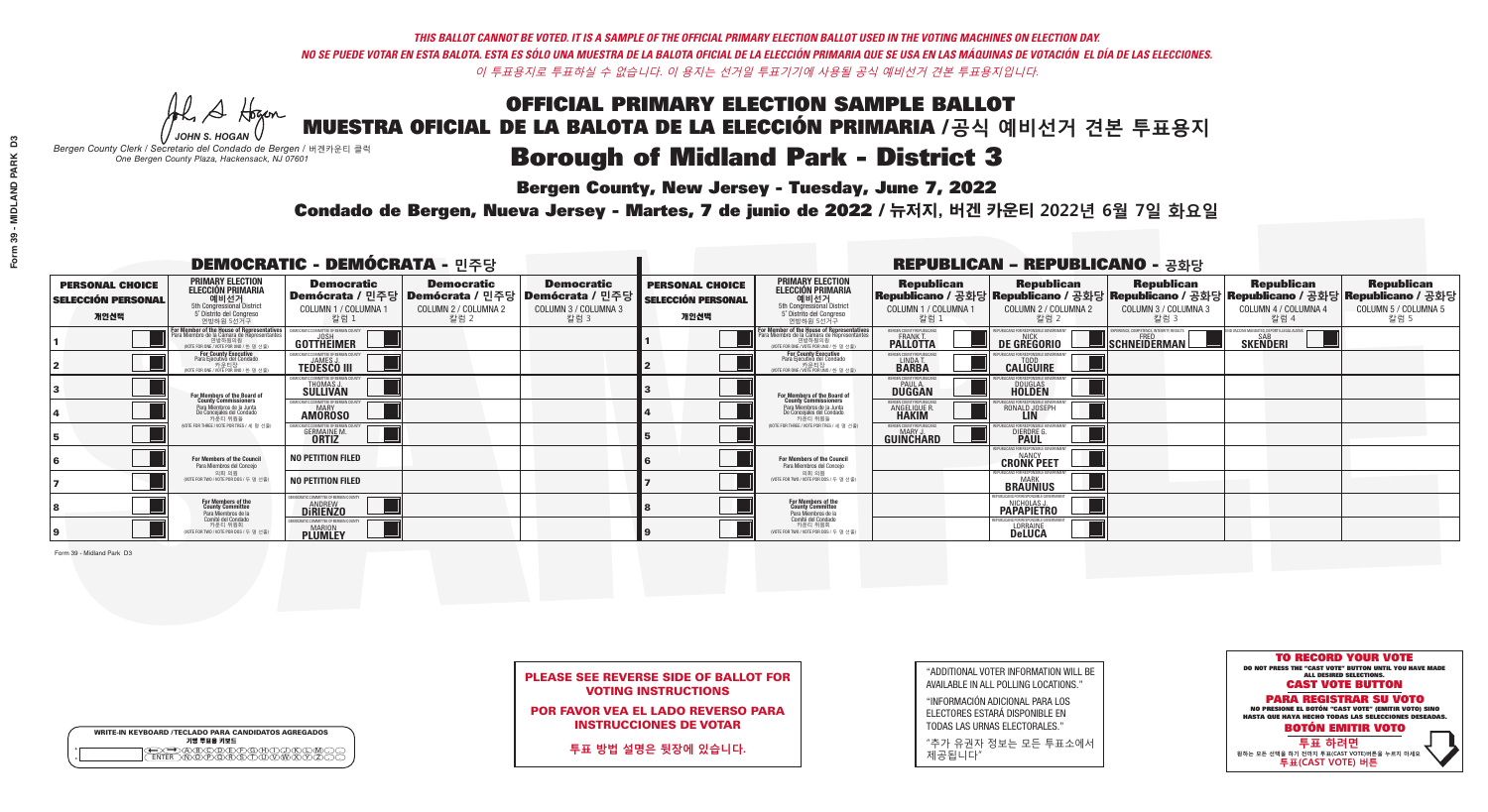**Bergen County, New Jersey - Tuesday, June 7, 2022** 

A Hogen *JOHN S. HOGAN*

| <b>WRITE-IN KEYBOARD /TECLADO PARA CANDIDATOS AGREGADOS</b><br>기명 투표용 키보드 |
|---------------------------------------------------------------------------|
|                                                                           |

*Bergen County Clerk / Secretario del Condado de Bergen /* 버겐카운티 클럭 *One Bergen County Plaza, Hackensack, NJ 07601*



PLEASE SEE REVERSE SIDE OF BALLOT FOR VOTING INSTRUCTIONS

POR FAVOR VEA EL LADO REVERSO PARA INSTRUCCIONES DE VOTAR

**투표 방법 설명은 뒷장에 있습니다.**

| "ADDITIONAL VOTER INFORMATION WILL BE |
|---------------------------------------|
| AVAILABLE IN ALL POLLING LOCATIONS."  |

"INFORMACIÓN ADICIONAL PARA LOS ELECTORES ESTARÁ DISPONIBLE EN TODAS LAS URNAS ELECTORALES."

"추가 유권자 정보는 모든 투표소에서 제공됩니다"

Condado de Bergen, Nueva Jersey - Martes, 7 de junio de 2022 / 뉴저지, 버겐 카운티 2022년 6월 7일 화요일 *One Bergen County Plaza, Hackensack, NJ 07601*

| <b>DEMOCRATIC - DEMÓCRATA - 민주당</b>                         |                                                                                                                                           |                                                                                       |                                                   |                                                                          |                                                             |                                                                                                                                               |                                                   | <b>REPUBLICAN - REPUBLICANO - 공화당</b>                                                                                                          |                                                          |                                                                |                                                   |
|-------------------------------------------------------------|-------------------------------------------------------------------------------------------------------------------------------------------|---------------------------------------------------------------------------------------|---------------------------------------------------|--------------------------------------------------------------------------|-------------------------------------------------------------|-----------------------------------------------------------------------------------------------------------------------------------------------|---------------------------------------------------|------------------------------------------------------------------------------------------------------------------------------------------------|----------------------------------------------------------|----------------------------------------------------------------|---------------------------------------------------|
| <b>PERSONAL CHOICE</b><br><b>SELECCIÓN PERSONAL</b><br>개인선택 | <b>PRIMARY ELECTION</b><br>ELECCIÓN PRIMARIA<br>예비선거<br><sub>5th Congressional District</sub><br>5° Distrito del Congreso<br>연방하원 5선거구    | <b>Democratic</b><br>│Demócrata / 민주당│Demócrata / 민주당<br>COLUMN 1 / COLUMNA 1<br>칼럼 1 | <b>Democratic</b><br>COLUMN 2 / COLUMNA 2<br>칼럼 2 | <b>Democratic</b><br>; Demócrata / 민주당 /<br>COLUMN 3 / COLUMNA 3<br>칼럼 3 | <b>PERSONAL CHOICE</b><br><b>SELECCIÓN PERSONAL</b><br>개인선택 | <b>PRIMARY ELECTION</b><br>ELECCIÓN PRIMARIA<br>5th Congressional District<br>5° Distrito del Congreso<br>연방하원 5선거구                           | <b>Republican</b><br>COLUMN 1 / COLUMNA 1<br>칼럼 : | <b>Republican</b><br>Republicano / 공화당 Republicano / 공화당 Republicano / 공화당 Republicano / 공화당 Republicano / 공화당<br>COLUMN 2 / COLUMNA 2<br>참럼 2 | <b>Republican</b><br>COLUMN 3 / COLUMNA 3<br>칼럼 3        | <b>Republican</b><br>COLUMN 4 / COLUMNA 4<br>칼럼 4              | <b>Republican</b><br>COLUMN 5 / COLUMNA 5<br>칼럼 5 |
|                                                             | or Member of the House of Representatives<br>ra Miembro de la Cámara de Representante<br>연방하원의원<br>(VOTE FOR ONE / VOTE POR UNO / 한 명 선출) | DEMOCRATIC COMMITTEE OF BERGEN COUNTY<br>GOTTHEIMER                                   |                                                   |                                                                          |                                                             | For Member of the House of Representatives<br>Para Miembro de la Cámara de Representantes<br>연방하원의원<br>(VOTE FOR ONE / VOTE POR UNO / 한 명 선출) | ERGEN COUNTY REPUBLICAN<br><b>PALLOTTA</b>        | DE GREGORIO                                                                                                                                    | PERIENCE, COMPETENCE, INTEGRITY, RESULTS<br>SCHNEIDERMAN | ND VACCINE MANDATES, DEPORT ILLEGAL ALIENS.<br><b>SKENDERI</b> |                                                   |
|                                                             | <b>For County Executive</b><br>Para Ejecutivo del Condado<br>가운티장<br>(VOTE FOR ONE / VOTE POR UNO / 한 명 선출)                               | JEMOCRATIC COMMITTEE OF BERGEN COUNTY<br><b>TEDESCO III</b>                           |                                                   |                                                                          |                                                             | <b>For County Executive</b><br>Para Ejecutivo del Condado<br>7) 카운티장<br>(VOTE FOR ONE / VOTE POR UNO / 한 명 선출)                                | BERGEN COUNTY REPUBLICAN<br>LINDA T.              | <b>CALIGUIRE</b>                                                                                                                               |                                                          |                                                                |                                                   |
|                                                             | <b>For Members of the Board of<br/>County Commissioners</b>                                                                               | MOCRATIC COMMITTEE OF BERGEN COUNTY<br><b>SULLIVAN</b>                                |                                                   |                                                                          |                                                             | For Members of the Board of<br>County Commissioners                                                                                           | ERGEN COUNTY REPUBLICAN<br><b>DUGGAN</b>          | <b>DOUGLAS</b><br><b>HOLDEN</b>                                                                                                                |                                                          |                                                                |                                                   |
|                                                             | Para Miembros de la Junta<br>De Concejales del Condado<br>카운티 위원들                                                                         | <b>10CRATIC COMMITTEE OF BERGEN COUNT</b><br><b>AMOROSO</b>                           |                                                   |                                                                          |                                                             | Para Miembros de la Junta<br>De Concejales del Condado<br>카우티 위원들                                                                             | ERGEN COUNTY REPUBLICAN<br>ANGELIQUE R            | RONALD JOSEPH                                                                                                                                  |                                                          |                                                                |                                                   |
|                                                             | NOTE FOR THREE / VOTE POR TRES / 세 명 선출)                                                                                                  | CRATIC COMMITTEE OF BERGEN CO<br><b>GERMAINE M.</b>                                   |                                                   |                                                                          |                                                             | NOTE FOR THREE / VOTE POR TRES / 세 명 선출)                                                                                                      | BERGEN COUNTY REPUBLICANS<br>MARY J.<br>GUINCHARD | S FOR RESPONSIBI E GO<br><b>DIERDRE</b> Q                                                                                                      |                                                          |                                                                |                                                   |
|                                                             | For Members of the Council<br>Para Miembros del Conceio                                                                                   | <b>NO PETITION FILED</b>                                                              |                                                   |                                                                          |                                                             | For Members of the Council<br>Para Miembros del Conceio                                                                                       |                                                   | PUBLICANS FOR RESPONSIBLE GOVERNMEN<br><b>CRONK PEET</b>                                                                                       |                                                          |                                                                |                                                   |
|                                                             | 의회 의원<br>(VOTE FOR TWO / VOTE POR DOS / 두 명 선출                                                                                            | <b>NO PETITION FILED</b>                                                              |                                                   |                                                                          |                                                             | 의회 의원<br>(VOTE FOR TWO / VOTE POR DOS / 두 명 선출)                                                                                               |                                                   | PUBLICANS FOR RESPONSIBLE GOVERNMENT<br><b>BRAUNIUS</b>                                                                                        |                                                          |                                                                |                                                   |
|                                                             | For Members of the<br>County Committee<br>Para Miembros de la<br>Comité del Condado                                                       | <b>IOCRATIC COMMITTEE OF BERGEN COUNT</b><br><b>ANDREW</b><br><b>DIRIENZO</b>         |                                                   |                                                                          |                                                             | For Members of the<br>County Committee<br>Para Miembros de la<br>Comité del Condado                                                           |                                                   | PUBLICANS FOR RESPONSIBLE GOVI<br>NICHOLAS J.<br><b>PAPAPIETRO</b>                                                                             |                                                          |                                                                |                                                   |
|                                                             | 카운티 위원회<br>(VOTE FOR TWO / VOTE POR DOS / 두 명 선출)                                                                                         | MOCRATIC COMMITTEE OF BERGEN COUN<br><b>PLUMLEY</b>                                   |                                                   |                                                                          |                                                             | 카운티 위원회<br>WOTE FOR TWO / VOTE POR DOS / 두 명 선출)                                                                                              |                                                   | PLIRI ICANS FOR RESPONSIRI E GOVERNMEN<br><b>LORRAINE</b>                                                                                      |                                                          |                                                                |                                                   |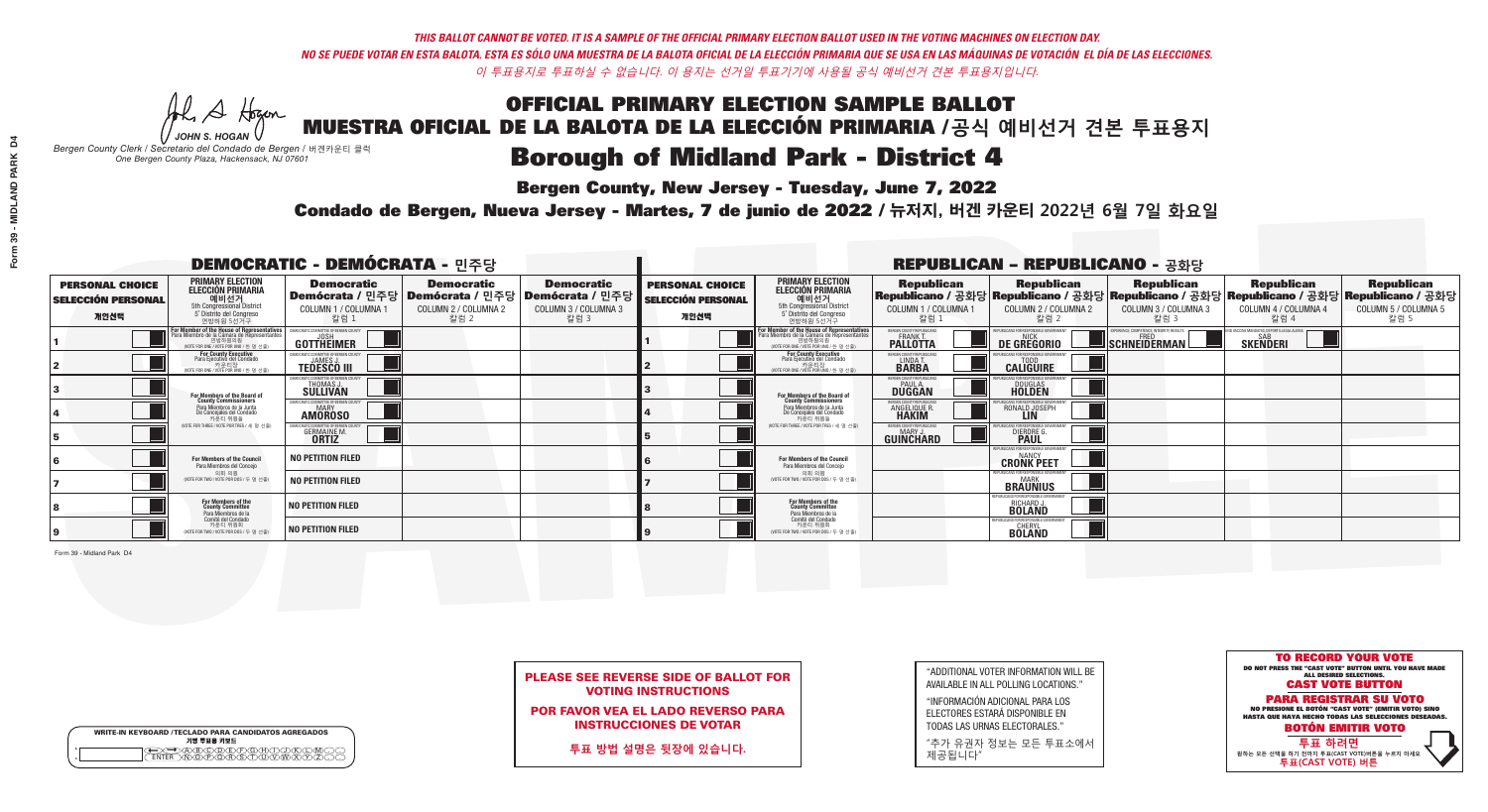**Bergen County, New Jersey - Tuesday, June 7, 2022** 

A Hogen *JOHN S. HOGAN*

| <b>WRITE-IN KEYBOARD /TECLADO PARA CANDIDATOS AGREGADOS</b><br>기명 투표용 키보드 |  |
|---------------------------------------------------------------------------|--|
| DOODECOODOO                                                               |  |

*Bergen County Clerk / Secretario del Condado de Bergen /* 버겐카운티 클럭 *One Bergen County Plaza, Hackensack, NJ 07601*

Condado de Bergen, Nueva Jersey - Martes, 7 de junio de 2022 / 뉴저지, 버겐 카운티 2022년 6월 7일 화요일 *One Bergen County Plaza, Hackensack, NJ 07601*



PLEASE SEE REVERSE SIDE OF BALLOT FOR VOTING INSTRUCTIONS

POR FAVOR VEA EL LADO REVERSO PARA INSTRUCCIONES DE VOTAR

**투표 방법 설명은 뒷장에 있습니다.**

"ADDITIONAL VOTER INFORMATION WILL BE AVAILABLE IN ALL POLLING LOCATIONS."

"INFORMACIÓN ADICIONAL PARA LOS ELECTORES ESTARÁ DISPONIBLE EN TODAS LAS URNAS ELECTORALES."

"추가 유권자 정보는 모든 투표소에서 제공됩니다"

| <b>DEMOCRATIC - DEMÓCRATA - 민주당</b>                         |                                                                                                                                                      |                                                                                       |                                                   |                                                                          |                                                             |                                                                                                                                               |                                                                | <b>REPUBLICAN - REPUBLICANO - 공화당</b>                  |                                                           |                                                                                                                                                |                                                   |
|-------------------------------------------------------------|------------------------------------------------------------------------------------------------------------------------------------------------------|---------------------------------------------------------------------------------------|---------------------------------------------------|--------------------------------------------------------------------------|-------------------------------------------------------------|-----------------------------------------------------------------------------------------------------------------------------------------------|----------------------------------------------------------------|--------------------------------------------------------|-----------------------------------------------------------|------------------------------------------------------------------------------------------------------------------------------------------------|---------------------------------------------------|
| <b>PERSONAL CHOICE</b><br><b>SELECCIÓN PERSONAL</b><br>개인선택 | <b>PRIMARY ELECTION</b><br>ELECCIÓN PRIMARIA<br>예비선거<br><sub>5th Congressional District</sub><br>5° Distrito del Congreso<br>연방하원 5선거구               | <b>Democratic</b><br>│Demócrata / 민주당│Demócrata / 민주당<br>COLUMN 1 / COLUMNA 1<br>칼럼 1 | <b>Democratic</b><br>COLUMN 2 / COLUMNA 2<br>칼럼 2 | <b>Democratic</b><br>; Demócrata / 민주당  <br>COLUMN 3 / COLUMNA 3<br>칼럼 3 | <b>PERSONAL CHOICE</b><br><b>SELECCIÓN PERSONAL</b><br>개인선택 | <b>PRIMARY ELECTION</b><br>ELECCIÓN PRIMARIA<br>5th Congressional District<br>5° Distrito del Congreso<br>연방하원 5선거구                           | <b>Republican</b><br>COLUMN 1 / COLUMNA 1<br>칼럼                | <b>Republican</b><br>COLUMN 2 / COLUMNA 2<br>·칼럼 2     | <b>Republican</b><br>COLUMN 3 / COLUMNA 3<br>칼럼 3         | <b>Republican</b><br>Republicano / 공화당 Republicano / 공화당 Republicano / 공화당 Republicano / 공화당 Republicano / 공화당<br>COLUMN 4 / COLUMNA 4<br>칼럼 4 | <b>Republican</b><br>COLUMN 5 / COLUMNA 5<br>칼럼 5 |
|                                                             | <b>For Member of the House of Representatives</b><br>Para Miembro de la Cámara de Representantes<br>연방하원의원<br>(VOTE FOR ONE / VOTE POR UNO / 한 명 선출) | DEMOCRATIC COMMITTEE OF BERGEN COUNTY<br>GOTTHEIMER                                   |                                                   |                                                                          |                                                             | For Member of the House of Representatives<br>Para Miembro de la Cámara de Representantes<br>연방하원의원<br>(VOTE FOR ONE / VOTE POR UNO / 한 명 선출) | ERGEN COUNTY REPUBLICAN<br><b>PALLOTTA</b>                     | DE GREGORIO                                            | (PERIENCE, COMPETENCE, INTEGRITY, RESULTS<br>SCHNEIDERMAN | VACCINE MANDATES, DEPORT ILLEGAL ALIENS.<br><b>SKENDERI</b>                                                                                    |                                                   |
|                                                             | <b>For County Executive</b><br>Para Ejecutivo del Condado<br>가운티장<br>(VOTE FOR ONE / VOTE POR UNO / 한 명 선출)                                          | JEMOCRATIC COMMITTEE OF BERGEN COUNTY<br><b>TEDESCO III</b>                           |                                                   |                                                                          |                                                             | For County Executive<br>Para Ejecutivo del Condado<br>7) 카운티장<br>(VOTE FOR ONE / VOTE POR UNO / 한 명 선출                                        | BERGEN COUNTY REPUBLICAN<br>LINDA T.                           | <b>CALIGUIRE</b>                                       |                                                           |                                                                                                                                                |                                                   |
|                                                             | For Members of the Board of<br>County Commissioners                                                                                                  | MOCRATIC COMMITTEE OF BERGEN COUNTY<br>THOMAS J.                                      |                                                   |                                                                          |                                                             | For Members of the Board of<br>County Commissioners                                                                                           | ERGEN COUNTY REPUBLICAN<br><b>DUGGAN</b>                       | <b>DOUGLAS</b><br><b>HOLDEN</b>                        |                                                           |                                                                                                                                                |                                                   |
|                                                             | Para Miembros de la Junta<br>De Concejales del Condado<br>카운티 위원들                                                                                    | OCRATIC COMMITTEE OF BERGEN COUNT<br><b>AMOROSO</b>                                   |                                                   |                                                                          |                                                             | Para Miembros de la Junta<br>De Concejales del Condado<br>카우티 위원들                                                                             | <b>ERGEN COUNTY REPUBLICAN</b><br><b>ANGELIQUE R<br/>HAKIM</b> | RONALD JOSEPH                                          |                                                           |                                                                                                                                                |                                                   |
|                                                             | NOTE FOR THREE / VOTE POR TRES / 세 명 선출)                                                                                                             | <b>CRATIC COMMITTEE OF BERGEN CI</b><br><b>GERMAINE M.</b><br><b>ORTIZ</b>            |                                                   |                                                                          |                                                             | (VOTE FOR THREE / VOTE POR TRES / 세 명 선출)                                                                                                     | ERGEN COUNTY REPUBLICANS<br>MARY J<br>GUINCHARD                | S FOR RESPONSIBI E G<br><b>DIERDRE</b> O               |                                                           |                                                                                                                                                |                                                   |
|                                                             | For Members of the Council<br>Para Miembros del Conceio                                                                                              | <b>NO PETITION FILED</b>                                                              |                                                   |                                                                          |                                                             | For Members of the Council<br>Para Miembros del Conceio                                                                                       |                                                                | PUBLICANS FOR RESPONSIBLE GO<br><b>CRONK PEET</b>      |                                                           |                                                                                                                                                |                                                   |
|                                                             | 의회 의원<br>NOTE FOR TWO / VOTE POR DOS / 두 명 선출                                                                                                        | <b>NO PETITION FILED</b>                                                              |                                                   |                                                                          |                                                             | 의회 의원<br>(VOTE FOR TWO / VOTE POR DOS / 두 명 선출)                                                                                               |                                                                | PUBLICANS FOR RESPONSIBLE GOVERNMEN<br><b>BRAUNIUS</b> |                                                           |                                                                                                                                                |                                                   |
|                                                             | For Members of the<br>County Committee<br>Para Miembros de la<br>Comité del Condado                                                                  | <b>NO PETITION FILED</b>                                                              |                                                   |                                                                          |                                                             | For Members of the<br>County Committee<br>Para Miembros de la<br>Comité del Condado                                                           |                                                                | I ICANS FOR RESPONSIRI E G<br>RICHARD J.               |                                                           |                                                                                                                                                |                                                   |
|                                                             | 카운티 위원회<br>(VOTE FOR TWO / VOTE POR DOS / 두 명 선출)                                                                                                    | <b>NO PETITION FILED</b>                                                              |                                                   |                                                                          |                                                             | 카운티 위원회<br>WOTE FOR TWO / VOTE POR DOS / 두 명 선출)                                                                                              |                                                                | BÖLÄÑD                                                 |                                                           |                                                                                                                                                |                                                   |